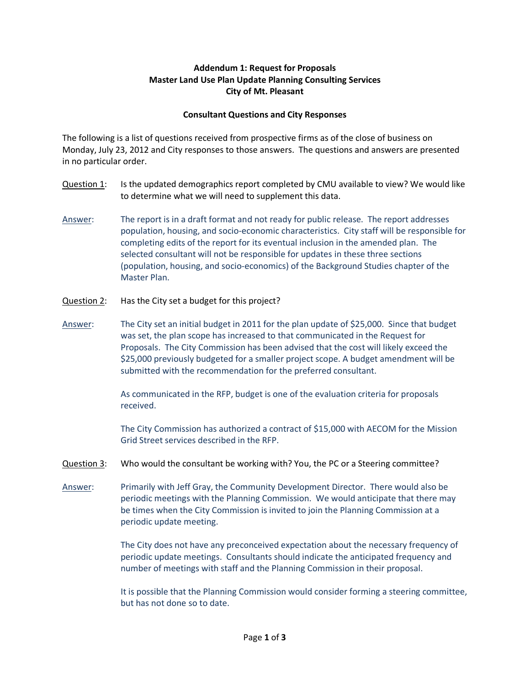## Addendum 1: Request for Proposals Master Land Use Plan Update Planning Consulting Services City of Mt. Pleasant

## Consultant Questions and City Responses

The following is a list of questions received from prospective firms as of the close of business on Monday, July 23, 2012 and City responses to those answers. The questions and answers are presented in no particular order.

- Question 1: Is the updated demographics report completed by CMU available to view? We would like to determine what we will need to supplement this data.
- Answer: The report is in a draft format and not ready for public release. The report addresses population, housing, and socio-economic characteristics. City staff will be responsible for completing edits of the report for its eventual inclusion in the amended plan. The selected consultant will not be responsible for updates in these three sections (population, housing, and socio-economics) of the Background Studies chapter of the Master Plan.
- Question 2: Has the City set a budget for this project?
- Answer: The City set an initial budget in 2011 for the plan update of \$25,000. Since that budget was set, the plan scope has increased to that communicated in the Request for Proposals. The City Commission has been advised that the cost will likely exceed the \$25,000 previously budgeted for a smaller project scope. A budget amendment will be submitted with the recommendation for the preferred consultant.

 As communicated in the RFP, budget is one of the evaluation criteria for proposals received.

The City Commission has authorized a contract of \$15,000 with AECOM for the Mission Grid Street services described in the RFP.

- Question 3: Who would the consultant be working with? You, the PC or a Steering committee?
- Answer: Primarily with Jeff Gray, the Community Development Director. There would also be periodic meetings with the Planning Commission. We would anticipate that there may be times when the City Commission is invited to join the Planning Commission at a periodic update meeting.

 The City does not have any preconceived expectation about the necessary frequency of periodic update meetings. Consultants should indicate the anticipated frequency and number of meetings with staff and the Planning Commission in their proposal.

 It is possible that the Planning Commission would consider forming a steering committee, but has not done so to date.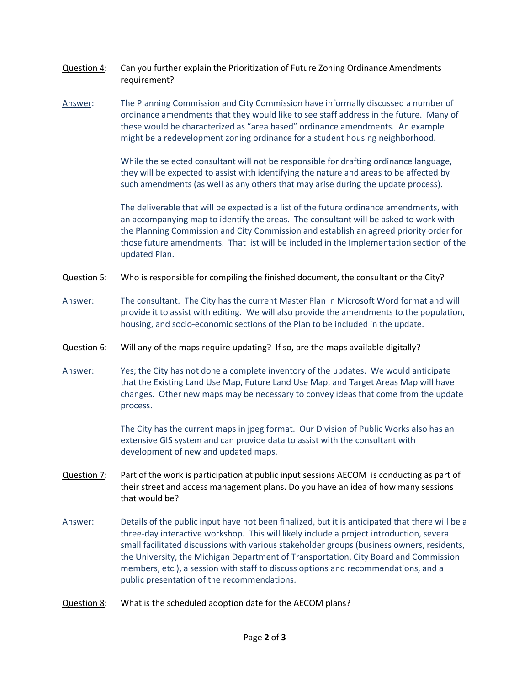- Question 4: Can you further explain the Prioritization of Future Zoning Ordinance Amendments requirement?
- Answer: The Planning Commission and City Commission have informally discussed a number of ordinance amendments that they would like to see staff address in the future. Many of these would be characterized as "area based" ordinance amendments. An example might be a redevelopment zoning ordinance for a student housing neighborhood.

 While the selected consultant will not be responsible for drafting ordinance language, they will be expected to assist with identifying the nature and areas to be affected by such amendments (as well as any others that may arise during the update process).

The deliverable that will be expected is a list of the future ordinance amendments, with an accompanying map to identify the areas. The consultant will be asked to work with the Planning Commission and City Commission and establish an agreed priority order for those future amendments. That list will be included in the Implementation section of the updated Plan.

- Question 5: Who is responsible for compiling the finished document, the consultant or the City?
- Answer: The consultant. The City has the current Master Plan in Microsoft Word format and will provide it to assist with editing. We will also provide the amendments to the population, housing, and socio-economic sections of the Plan to be included in the update.
- Question 6: Will any of the maps require updating? If so, are the maps available digitally?
- Answer: Yes; the City has not done a complete inventory of the updates. We would anticipate that the Existing Land Use Map, Future Land Use Map, and Target Areas Map will have changes. Other new maps may be necessary to convey ideas that come from the update process.

 The City has the current maps in jpeg format. Our Division of Public Works also has an extensive GIS system and can provide data to assist with the consultant with development of new and updated maps.

- Question 7: Part of the work is participation at public input sessions AECOM is conducting as part of their street and access management plans. Do you have an idea of how many sessions that would be?
- Answer: Details of the public input have not been finalized, but it is anticipated that there will be a three-day interactive workshop. This will likely include a project introduction, several small facilitated discussions with various stakeholder groups (business owners, residents, the University, the Michigan Department of Transportation, City Board and Commission members, etc.), a session with staff to discuss options and recommendations, and a public presentation of the recommendations.
- Question 8: What is the scheduled adoption date for the AECOM plans?